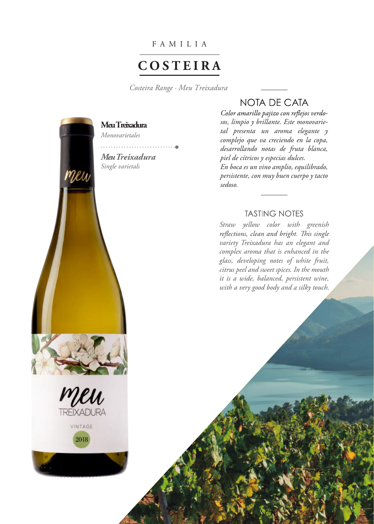F AMIL I A

# **C O S TEI R A**

*Costeira Range · Meu Treixadura* 





2018

NOTA DE CATA

Color amarillo pajizo con reflejos verdo*sos, limpio y brillante. Este monovarietal presenta un aroma elegante y complejo que va creciendo en la copa, desarrollando notas de fruta blanca, piel de cítricos y especias dulces. En boca es un vino amplio, equilibrado, persistente, con muy buen cuerpo y tacto sedoso.*

## **TASTING NOTES**

*Straw yellow color with greenish*  reflections, clean and bright. This single *variety Treixadura has an elegant and complex aroma that is enhanced in the glass, developing notes of white fruit, citrus peel and sweet spices. In the mouth it is a wide, balanced, persistent wine, with a very good body and a silky touch.*